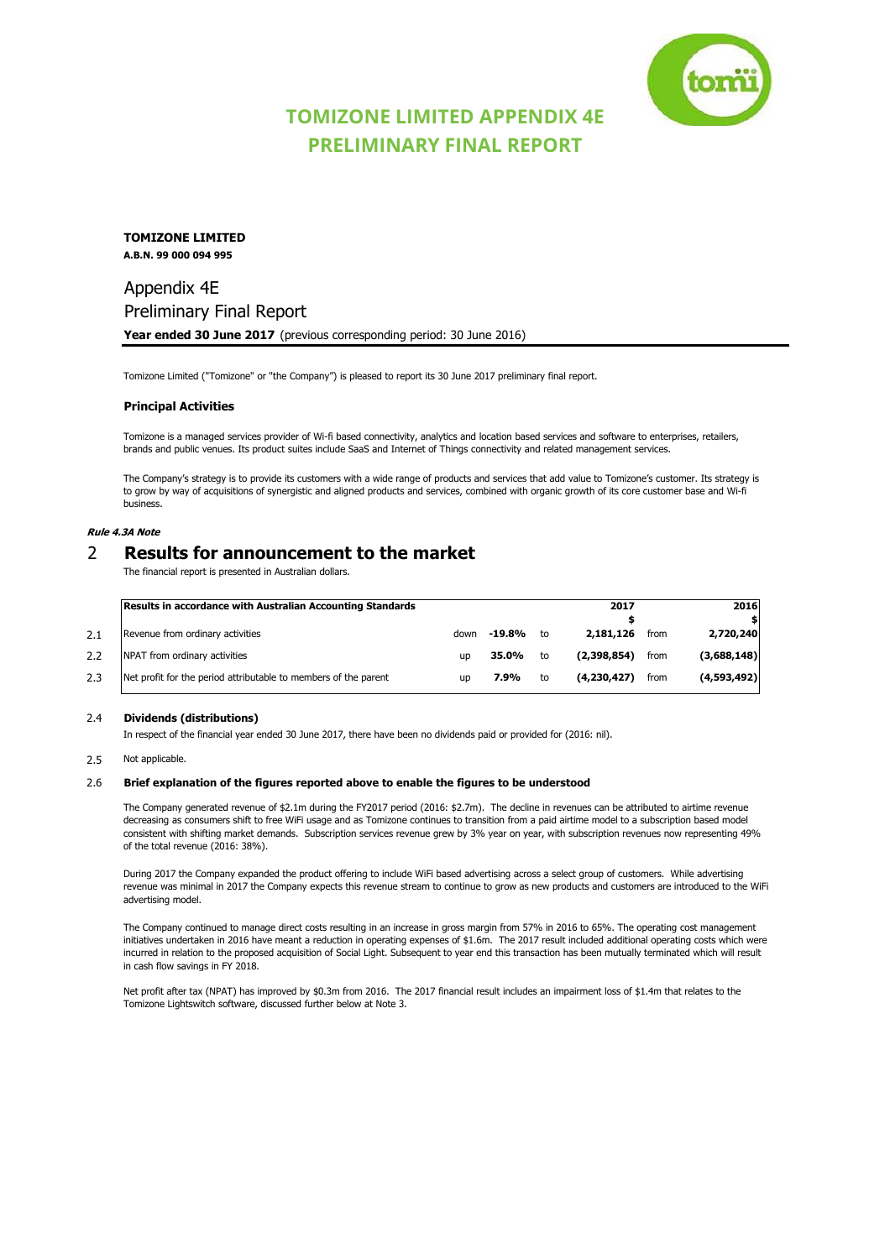

# **TOMIZONE LIMITED APPENDIX 4E PRELIMINARY FINAL REPORT**

**TOMIZONE LIMITED A.B.N. 99 000 094 995**

# Appendix 4E Preliminary Final Report **Year ended 30 June 2017** (previous corresponding period: 30 June 2016)

Tomizone Limited ("Tomizone" or "the Company") is pleased to report its 30 June 2017 preliminary final report.

### **Principal Activities**

Tomizone is a managed services provider of Wi-fi based connectivity, analytics and location based services and software to enterprises, retailers, brands and public venues. Its product suites include SaaS and Internet of Things connectivity and related management services.

The Company's strategy is to provide its customers with a wide range of products and services that add value to Tomizone's customer. Its strategy is to grow by way of acquisitions of synergistic and aligned products and services, combined with organic growth of its core customer base and Wi-fi business.

## **Rule 4.3A Note**

# 2 **Results for announcement to the market**

The financial report is presented in Australian dollars.

|     | <b>Results in accordance with Australian Accounting Standards</b> |           |        |    | 2017        |      | 2016        |
|-----|-------------------------------------------------------------------|-----------|--------|----|-------------|------|-------------|
|     |                                                                   |           |        |    |             |      |             |
| 2.1 | Revenue from ordinary activities                                  | down      | -19.8% | to | 2,181,126   | from | 2,720,240   |
| 2.2 | NPAT from ordinary activities                                     | <b>UD</b> | 35.0%  | to | (2.398.854) | from | (3,688,148) |
| 2.3 | Net profit for the period attributable to members of the parent   | <b>UD</b> | 7.9%   | to | (4.230.427) | from | (4,593,492) |

### 2.4 **Dividends (distributions)**

In respect of the financial year ended 30 June 2017, there have been no dividends paid or provided for (2016: nil).

## 2.5 Not applicable.

### 2.6 **Brief explanation of the figures reported above to enable the figures to be understood**

The Company generated revenue of \$2.1m during the FY2017 period (2016: \$2.7m). The decline in revenues can be attributed to airtime revenue decreasing as consumers shift to free WiFi usage and as Tomizone continues to transition from a paid airtime model to a subscription based model consistent with shifting market demands. Subscription services revenue grew by 3% year on year, with subscription revenues now representing 49% of the total revenue (2016: 38%).

During 2017 the Company expanded the product offering to include WiFi based advertising across a select group of customers. While advertising revenue was minimal in 2017 the Company expects this revenue stream to continue to grow as new products and customers are introduced to the WiFi advertising model.

The Company continued to manage direct costs resulting in an increase in gross margin from 57% in 2016 to 65%. The operating cost management initiatives undertaken in 2016 have meant a reduction in operating expenses of \$1.6m. The 2017 result included additional operating costs which were incurred in relation to the proposed acquisition of Social Light. Subsequent to year end this transaction has been mutually terminated which will result in cash flow savings in FY 2018.

Net profit after tax (NPAT) has improved by \$0.3m from 2016. The 2017 financial result includes an impairment loss of \$1.4m that relates to the Tomizone Lightswitch software, discussed further below at Note 3.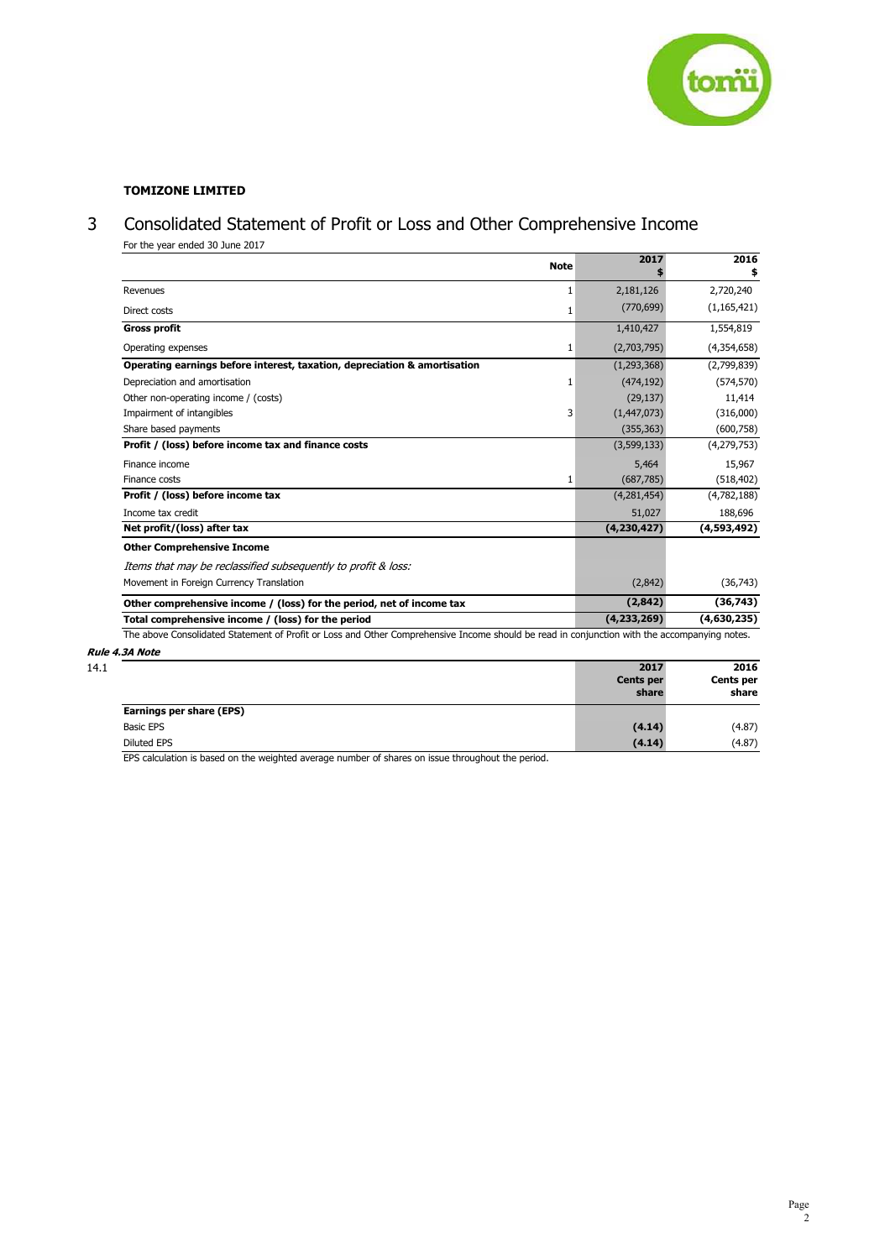

# **TOMIZONE LIMITED**

# 3 Consolidated Statement of Profit or Loss and Other Comprehensive Income

| For the year ended 30 June 2017 |
|---------------------------------|
|                                 |

| <b>Note</b>                                                                                                                                  | 2017                     | 2016                     |
|----------------------------------------------------------------------------------------------------------------------------------------------|--------------------------|--------------------------|
| Revenues<br>1                                                                                                                                | 2,181,126                | 2,720,240                |
| Direct costs<br>1                                                                                                                            | (770, 699)               | (1, 165, 421)            |
| <b>Gross profit</b>                                                                                                                          | 1,410,427                | 1,554,819                |
| Operating expenses<br>1                                                                                                                      | (2,703,795)              | (4,354,658)              |
| Operating earnings before interest, taxation, depreciation & amortisation                                                                    | (1, 293, 368)            | (2,799,839)              |
| Depreciation and amortisation<br>1                                                                                                           | (474, 192)               | (574, 570)               |
| Other non-operating income / (costs)                                                                                                         | (29, 137)                | 11,414                   |
| Impairment of intangibles<br>3                                                                                                               | (1,447,073)              | (316,000)                |
| Share based payments                                                                                                                         | (355, 363)               | (600, 758)               |
| Profit / (loss) before income tax and finance costs                                                                                          | (3,599,133)              | (4,279,753)              |
| Finance income                                                                                                                               | 5,464                    | 15,967                   |
| Finance costs<br>1                                                                                                                           | (687, 785)               | (518, 402)               |
| Profit / (loss) before income tax                                                                                                            | (4,281,454)              | (4,782,188)              |
| Income tax credit                                                                                                                            | 51,027                   | 188,696                  |
| Net profit/(loss) after tax                                                                                                                  | (4,230,427)              | (4,593,492)              |
| <b>Other Comprehensive Income</b>                                                                                                            |                          |                          |
| Items that may be reclassified subsequently to profit & loss:                                                                                |                          |                          |
| Movement in Foreign Currency Translation                                                                                                     | (2,842)                  | (36, 743)                |
| Other comprehensive income / (loss) for the period, net of income tax                                                                        | (2, 842)                 | (36, 743)                |
| Total comprehensive income / (loss) for the period                                                                                           | (4,233,269)              | (4,630,235)              |
| The above Consolidated Statement of Profit or Loss and Other Comprehensive Income should be read in conjunction with the accompanying notes. |                          |                          |
| Rule 4.3A Note                                                                                                                               |                          |                          |
|                                                                                                                                              | 2017<br><b>Cents per</b> | 2016<br><b>Cents per</b> |

| 14.1 |                          | 2017<br>Cents per<br>share | 2016<br><b>Cents per</b><br>share |
|------|--------------------------|----------------------------|-----------------------------------|
|      | Earnings per share (EPS) |                            |                                   |
|      | <b>Basic EPS</b>         | (4.14)                     | (4.87)                            |
|      | Diluted EPS              | (4.14)                     | (4.87)                            |

EPS calculation is based on the weighted average number of shares on issue throughout the period.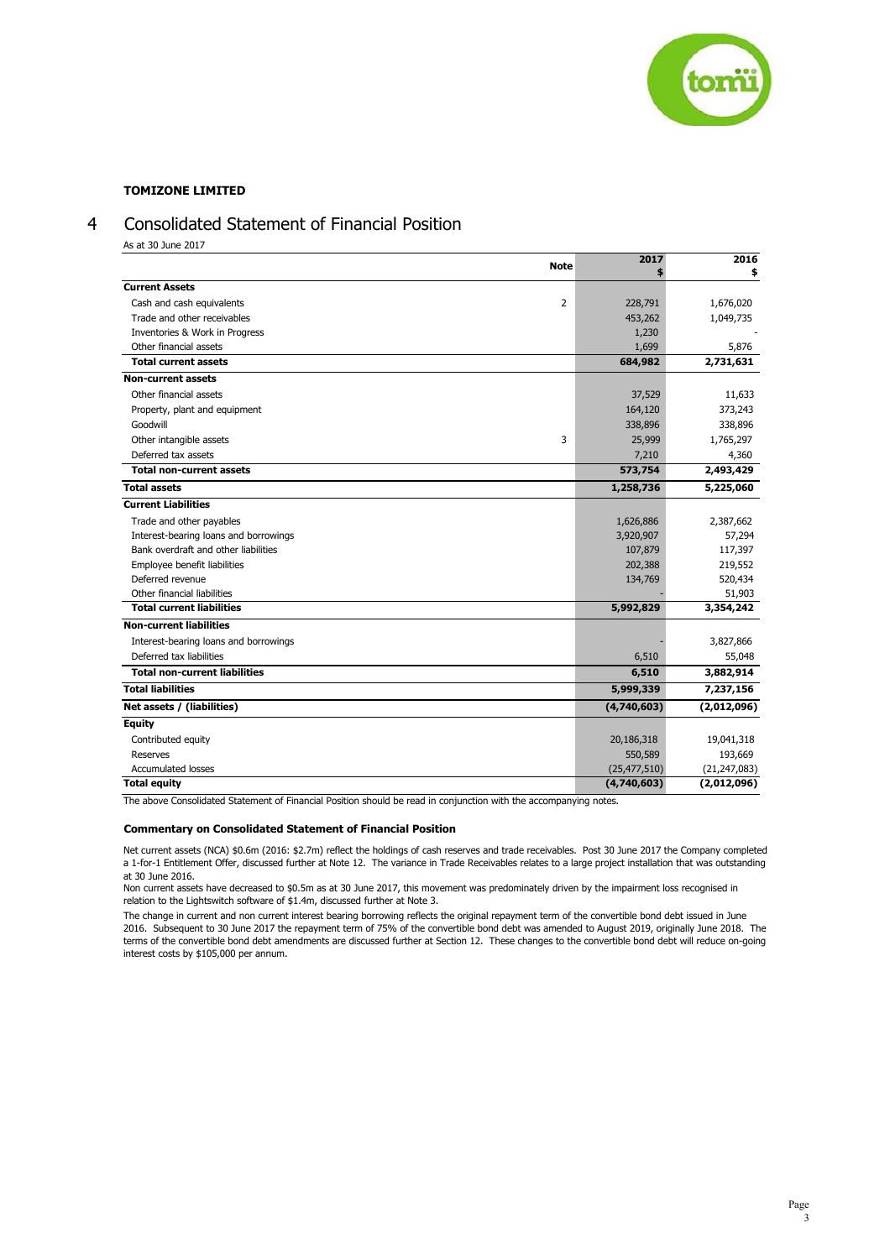

# 4 Consolidated Statement of Financial Position

As at 30 June 2017

|                                       | <b>Note</b>    | 2017           | 2016           |
|---------------------------------------|----------------|----------------|----------------|
|                                       |                |                | \$             |
| <b>Current Assets</b>                 |                |                |                |
| Cash and cash equivalents             | $\overline{2}$ | 228,791        | 1,676,020      |
| Trade and other receivables           |                | 453,262        | 1,049,735      |
| Inventories & Work in Progress        |                | 1,230          |                |
| Other financial assets                |                | 1,699          | 5,876          |
| <b>Total current assets</b>           |                | 684,982        | 2,731,631      |
| <b>Non-current assets</b>             |                |                |                |
| Other financial assets                |                | 37,529         | 11,633         |
| Property, plant and equipment         |                | 164,120        | 373,243        |
| Goodwill                              |                | 338,896        | 338,896        |
| Other intangible assets               | 3              | 25,999         | 1,765,297      |
| Deferred tax assets                   |                | 7,210          | 4,360          |
| <b>Total non-current assets</b>       |                | 573,754        | 2,493,429      |
| <b>Total assets</b>                   |                | 1,258,736      | 5,225,060      |
| <b>Current Liabilities</b>            |                |                |                |
| Trade and other payables              |                | 1,626,886      | 2,387,662      |
| Interest-bearing loans and borrowings |                | 3,920,907      | 57,294         |
| Bank overdraft and other liabilities  |                | 107,879        | 117,397        |
| Employee benefit liabilities          |                | 202,388        | 219,552        |
| Deferred revenue                      |                | 134,769        | 520,434        |
| Other financial liabilities           |                |                | 51,903         |
| <b>Total current liabilities</b>      |                | 5,992,829      | 3,354,242      |
| <b>Non-current liabilities</b>        |                |                |                |
| Interest-bearing loans and borrowings |                |                | 3,827,866      |
| Deferred tax liabilities              |                | 6,510          | 55,048         |
| <b>Total non-current liabilities</b>  |                | 6,510          | 3,882,914      |
| <b>Total liabilities</b>              |                | 5,999,339      | 7,237,156      |
| Net assets / (liabilities)            |                | (4,740,603)    | (2,012,096)    |
| <b>Equity</b>                         |                |                |                |
| Contributed equity                    |                | 20,186,318     | 19,041,318     |
| Reserves                              |                | 550,589        | 193,669        |
| <b>Accumulated losses</b>             |                | (25, 477, 510) | (21, 247, 083) |
| <b>Total equity</b>                   |                | (4,740,603)    | (2,012,096)    |

The above Consolidated Statement of Financial Position should be read in conjunction with the accompanying notes.

### **Commentary on Consolidated Statement of Financial Position**

Net current assets (NCA) \$0.6m (2016: \$2.7m) reflect the holdings of cash reserves and trade receivables. Post 30 June 2017 the Company completed a 1-for-1 Entitlement Offer, discussed further at Note 12. The variance in Trade Receivables relates to a large project installation that was outstanding at 30 June 2016.

Non current assets have decreased to \$0.5m as at 30 June 2017, this movement was predominately driven by the impairment loss recognised in relation to the Lightswitch software of \$1.4m, discussed further at Note 3.

The change in current and non current interest bearing borrowing reflects the original repayment term of the convertible bond debt issued in June 2016. Subsequent to 30 June 2017 the repayment term of 75% of the convertible bond debt was amended to August 2019, originally June 2018. The terms of the convertible bond debt amendments are discussed further at Section 12. These changes to the convertible bond debt will reduce on-going interest costs by \$105,000 per annum.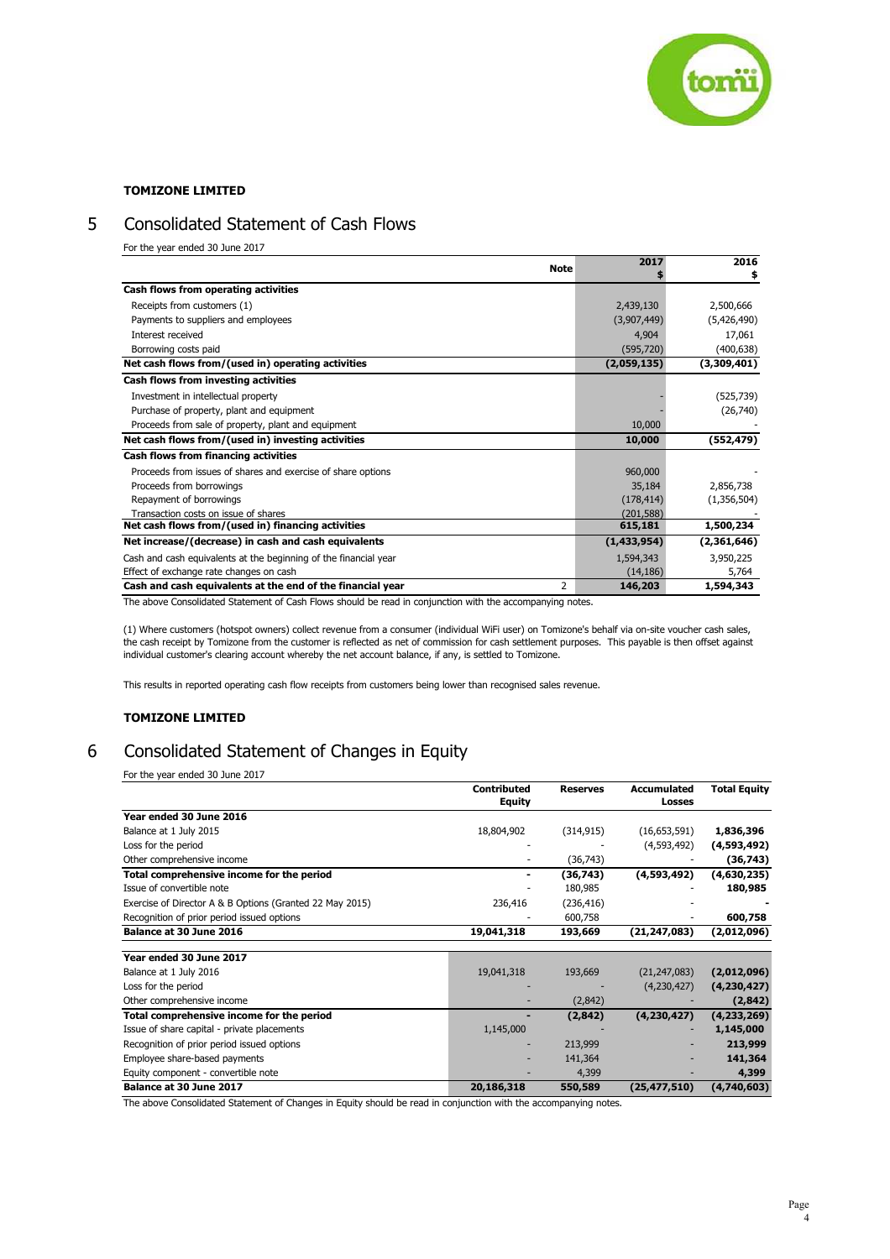

# 5 Consolidated Statement of Cash Flows

For the year ended 30 June 2017

| <b>Note</b>                                                      | 2017        | 2016        |
|------------------------------------------------------------------|-------------|-------------|
|                                                                  |             | \$          |
| Cash flows from operating activities                             |             |             |
| Receipts from customers (1)                                      | 2,439,130   | 2,500,666   |
| Payments to suppliers and employees                              | (3,907,449) | (5,426,490) |
| Interest received                                                | 4,904       | 17,061      |
| Borrowing costs paid                                             | (595, 720)  | (400, 638)  |
| Net cash flows from/(used in) operating activities               | (2,059,135) | (3,309,401) |
| Cash flows from investing activities                             |             |             |
| Investment in intellectual property                              |             | (525, 739)  |
| Purchase of property, plant and equipment                        |             | (26,740)    |
| Proceeds from sale of property, plant and equipment              | 10,000      |             |
| Net cash flows from/(used in) investing activities               | 10,000      | (552, 479)  |
| Cash flows from financing activities                             |             |             |
| Proceeds from issues of shares and exercise of share options     | 960,000     |             |
| Proceeds from borrowings                                         | 35,184      | 2,856,738   |
| Repayment of borrowings                                          | (178, 414)  | (1,356,504) |
| Transaction costs on issue of shares                             | (201.588)   |             |
| Net cash flows from/(used in) financing activities               | 615,181     | 1,500,234   |
| Net increase/(decrease) in cash and cash equivalents             | (1,433,954) | (2,361,646) |
| Cash and cash equivalents at the beginning of the financial year | 1,594,343   | 3,950,225   |
| Effect of exchange rate changes on cash                          | (14, 186)   | 5,764       |
| 2<br>Cash and cash equivalents at the end of the financial year  | 146,203     | 1,594,343   |

The above Consolidated Statement of Cash Flows should be read in conjunction with the accompanying notes.

(1) Where customers (hotspot owners) collect revenue from a consumer (individual WiFi user) on Tomizone's behalf via on-site voucher cash sales, the cash receipt by Tomizone from the customer is reflected as net of commission for cash settlement purposes. This payable is then offset against individual customer's clearing account whereby the net account balance, if any, is settled to Tomizone.

This results in reported operating cash flow receipts from customers being lower than recognised sales revenue.

## **TOMIZONE LIMITED**

# 6 Consolidated Statement of Changes in Equity

For the year ended 30 June 2017

|                                                          | <b>Contributed</b><br><b>Equity</b> | <b>Reserves</b> | Accumulated<br>Losses | <b>Total Equity</b> |
|----------------------------------------------------------|-------------------------------------|-----------------|-----------------------|---------------------|
| Year ended 30 June 2016                                  |                                     |                 |                       |                     |
| Balance at 1 July 2015                                   | 18,804,902                          | (314, 915)      | (16,653,591)          | 1,836,396           |
| Loss for the period                                      |                                     |                 | (4,593,492)           | (4,593,492)         |
| Other comprehensive income                               |                                     | (36, 743)       |                       | (36,743)            |
| Total comprehensive income for the period                |                                     | (36,743)        | (4,593,492)           | (4,630,235)         |
| Issue of convertible note                                |                                     | 180,985         |                       | 180,985             |
| Exercise of Director A & B Options (Granted 22 May 2015) | 236,416                             | (236, 416)      |                       |                     |
| Recognition of prior period issued options               |                                     | 600,758         |                       | 600,758             |
| Balance at 30 June 2016                                  | 19,041,318                          | 193,669         | (21, 247, 083)        | (2,012,096)         |
|                                                          |                                     |                 |                       |                     |
| Year ended 30 June 2017                                  |                                     |                 |                       |                     |
| Balance at 1 July 2016                                   | 19,041,318                          | 193,669         | (21, 247, 083)        | (2,012,096)         |
| Loss for the period                                      |                                     |                 | (4,230,427)           | (4,230,427)         |
| Other comprehensive income                               |                                     | (2,842)         |                       | (2, 842)            |
| Total comprehensive income for the period                |                                     | (2, 842)        | (4, 230, 427)         | (4, 233, 269)       |
| Issue of share capital - private placements              | 1,145,000                           |                 |                       | 1,145,000           |
| Recognition of prior period issued options               |                                     | 213,999         |                       | 213,999             |
| Employee share-based payments                            |                                     | 141,364         |                       | 141,364             |
| Equity component - convertible note                      |                                     | 4,399           |                       | 4,399               |
| Balance at 30 June 2017                                  | 20,186,318                          | 550,589         | (25, 477, 510)        | (4,740,603)         |

The above Consolidated Statement of Changes in Equity should be read in conjunction with the accompanying notes.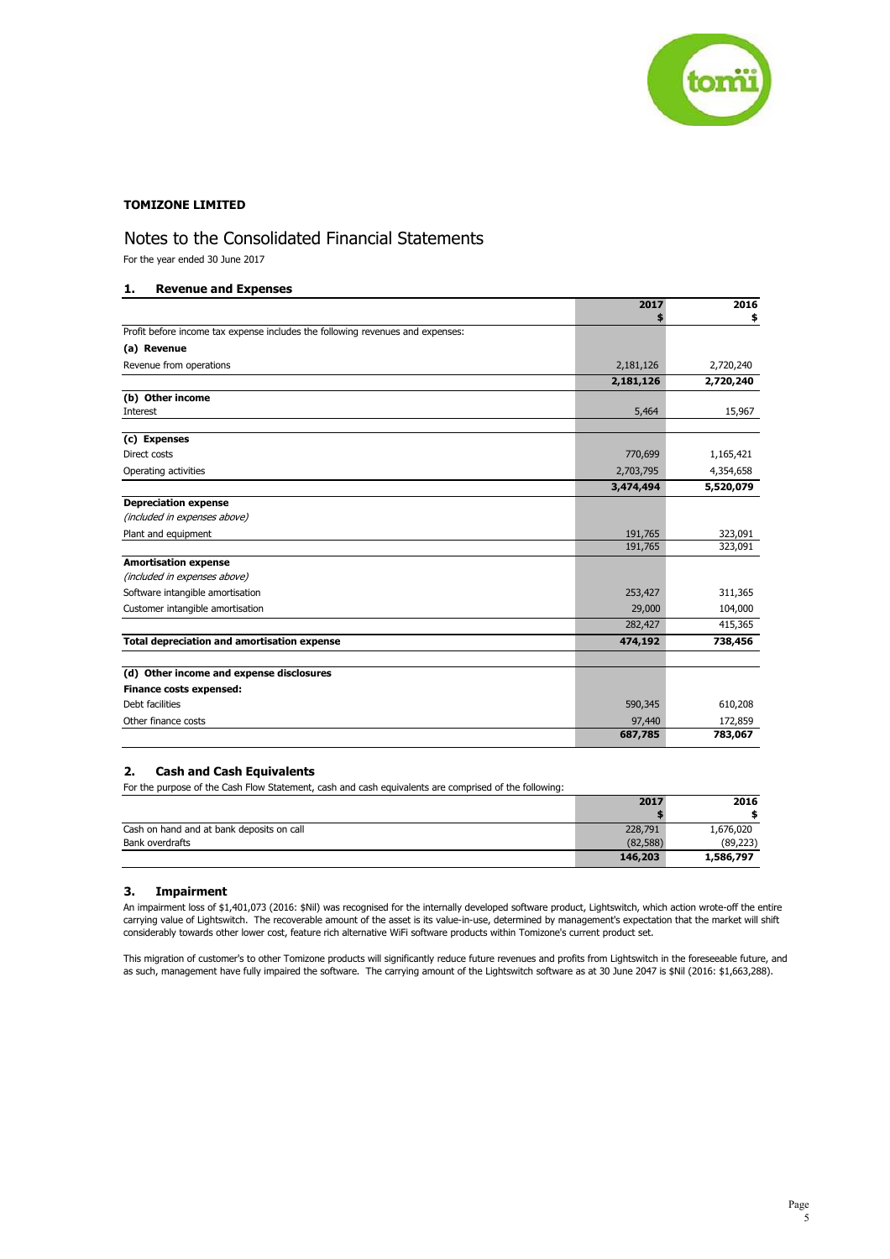

# Notes to the Consolidated Financial Statements

For the year ended 30 June 2017

## **1. Revenue and Expenses**

|                                                                                | 2017      | 2016      |
|--------------------------------------------------------------------------------|-----------|-----------|
|                                                                                |           |           |
| Profit before income tax expense includes the following revenues and expenses: |           |           |
| (a) Revenue                                                                    |           |           |
| Revenue from operations                                                        | 2,181,126 | 2,720,240 |
|                                                                                | 2,181,126 | 2,720,240 |
| (b) Other income                                                               |           |           |
| <b>Interest</b>                                                                | 5,464     | 15,967    |
|                                                                                |           |           |
| (c) Expenses                                                                   |           |           |
| Direct costs                                                                   | 770,699   | 1,165,421 |
| Operating activities                                                           | 2,703,795 | 4,354,658 |
|                                                                                | 3,474,494 | 5,520,079 |
| <b>Depreciation expense</b>                                                    |           |           |
| (included in expenses above)                                                   |           |           |
| Plant and equipment                                                            | 191,765   | 323,091   |
|                                                                                | 191,765   | 323,091   |
| <b>Amortisation expense</b>                                                    |           |           |
| (included in expenses above)                                                   |           |           |
| Software intangible amortisation                                               | 253,427   | 311,365   |
| Customer intangible amortisation                                               | 29,000    | 104,000   |
|                                                                                | 282,427   | 415,365   |
| <b>Total depreciation and amortisation expense</b>                             | 474,192   | 738,456   |
|                                                                                |           |           |
| (d) Other income and expense disclosures                                       |           |           |
| Finance costs expensed:                                                        |           |           |
| Debt facilities                                                                | 590,345   | 610,208   |
| Other finance costs                                                            | 97,440    | 172,859   |
|                                                                                | 687,785   | 783,067   |

## **2. Cash and Cash Equivalents**

For the purpose of the Cash Flow Statement, cash and cash equivalents are comprised of the following:

|                                           | 2017     | 2016      |
|-------------------------------------------|----------|-----------|
|                                           |          |           |
| Cash on hand and at bank deposits on call | 228,791  | 1,676,020 |
| Bank overdrafts                           | (82.588) | (89, 223) |
|                                           | 146,203  | 1,586,797 |

## **3. Impairment**

An impairment loss of \$1,401,073 (2016: \$Nil) was recognised for the internally developed software product, Lightswitch, which action wrote-off the entire carrying value of Lightswitch. The recoverable amount of the asset is its value-in-use, determined by management's expectation that the market will shift considerably towards other lower cost, feature rich alternative WiFi software products within Tomizone's current product set.

This migration of customer's to other Tomizone products will significantly reduce future revenues and profits from Lightswitch in the foreseeable future, and as such, management have fully impaired the software. The carrying amount of the Lightswitch software as at 30 June 2047 is \$Nil (2016: \$1,663,288).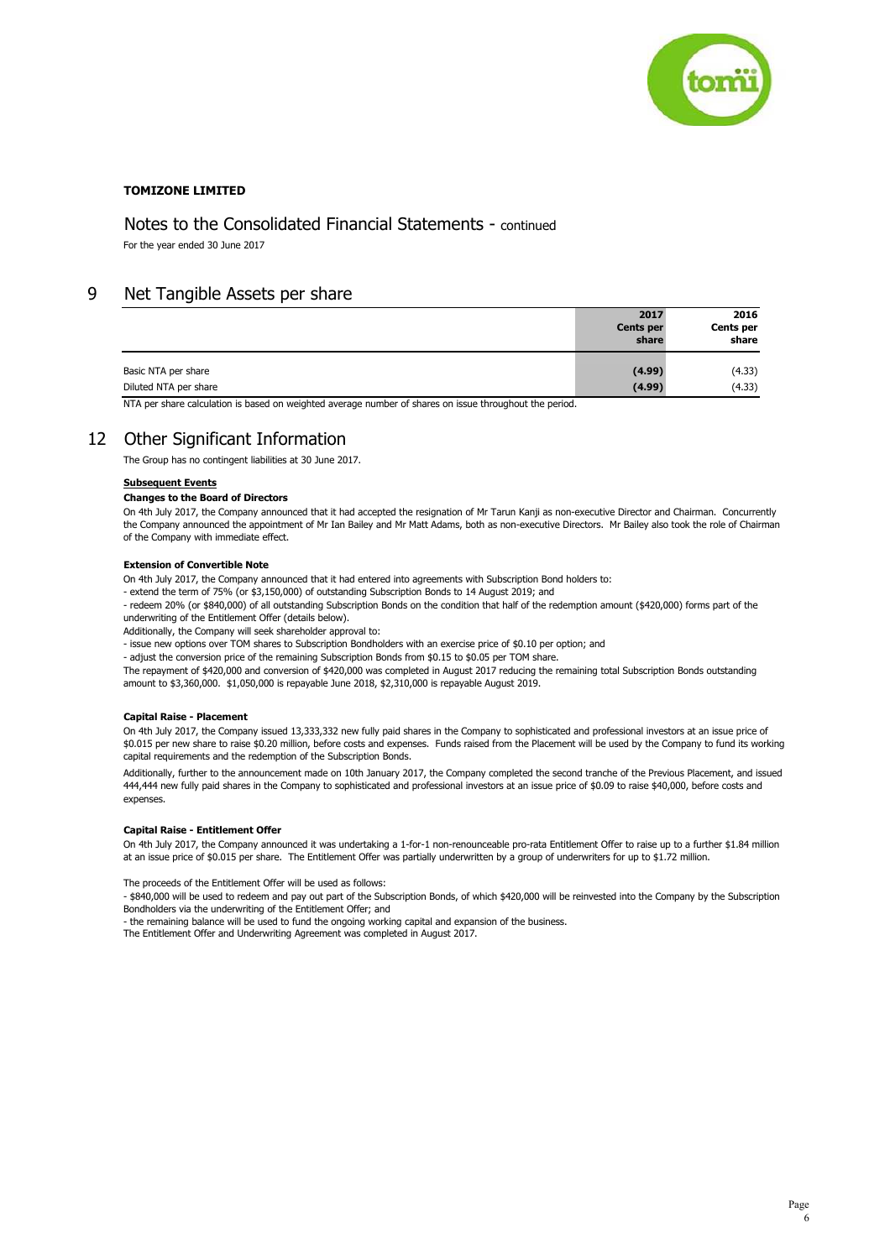

# Notes to the Consolidated Financial Statements - continued

For the year ended 30 June 2017

# 9 Net Tangible Assets per share

|                       | 2017<br><b>Cents per</b><br>share | 2016<br>Cents per<br>share |
|-----------------------|-----------------------------------|----------------------------|
| Basic NTA per share   | (4.99)                            | (4.33)                     |
| Diluted NTA per share | (4.99)                            | (4.33)                     |
|                       |                                   |                            |

NTA per share calculation is based on weighted average number of shares on issue throughout the period.

# 12 Other Significant Information

The Group has no contingent liabilities at 30 June 2017.

## **Subsequent Events**

## **Changes to the Board of Directors**

On 4th July 2017, the Company announced that it had accepted the resignation of Mr Tarun Kanji as non-executive Director and Chairman. Concurrently the Company announced the appointment of Mr Ian Bailey and Mr Matt Adams, both as non-executive Directors. Mr Bailey also took the role of Chairman of the Company with immediate effect.

## **Extension of Convertible Note**

On 4th July 2017, the Company announced that it had entered into agreements with Subscription Bond holders to:

- extend the term of 75% (or \$3,150,000) of outstanding Subscription Bonds to 14 August 2019; and

- redeem 20% (or \$840,000) of all outstanding Subscription Bonds on the condition that half of the redemption amount (\$420,000) forms part of the underwriting of the Entitlement Offer (details below).

Additionally, the Company will seek shareholder approval to:

- issue new options over TOM shares to Subscription Bondholders with an exercise price of \$0.10 per option; and

- adjust the conversion price of the remaining Subscription Bonds from \$0.15 to \$0.05 per TOM share.

The repayment of \$420,000 and conversion of \$420,000 was completed in August 2017 reducing the remaining total Subscription Bonds outstanding amount to \$3,360,000. \$1,050,000 is repayable June 2018, \$2,310,000 is repayable August 2019.

### **Capital Raise - Placement**

On 4th July 2017, the Company issued 13,333,332 new fully paid shares in the Company to sophisticated and professional investors at an issue price of \$0.015 per new share to raise \$0.20 million, before costs and expenses. Funds raised from the Placement will be used by the Company to fund its working capital requirements and the redemption of the Subscription Bonds.

Additionally, further to the announcement made on 10th January 2017, the Company completed the second tranche of the Previous Placement, and issued 444,444 new fully paid shares in the Company to sophisticated and professional investors at an issue price of \$0.09 to raise \$40,000, before costs and expenses.

### **Capital Raise - Entitlement Offer**

On 4th July 2017, the Company announced it was undertaking a 1-for-1 non-renounceable pro-rata Entitlement Offer to raise up to a further \$1.84 million at an issue price of \$0.015 per share. The Entitlement Offer was partially underwritten by a group of underwriters for up to \$1.72 million.

The proceeds of the Entitlement Offer will be used as follows:

- \$840,000 will be used to redeem and pay out part of the Subscription Bonds, of which \$420,000 will be reinvested into the Company by the Subscription Bondholders via the underwriting of the Entitlement Offer; and

- the remaining balance will be used to fund the ongoing working capital and expansion of the business.

The Entitlement Offer and Underwriting Agreement was completed in August 2017.